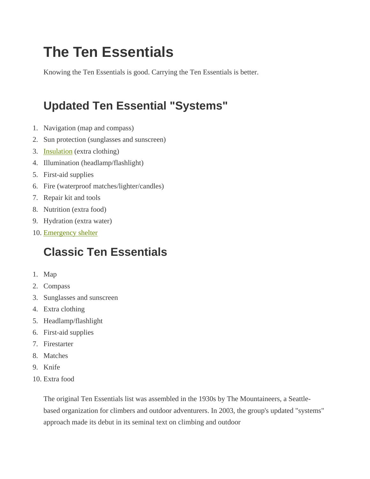# **The Ten Essentials**

Knowing the Ten Essentials is good. Carrying the Ten Essentials is better.

## **Updated Ten Essential "Systems"**

- 1. Navigation (map and compass)
- 2. Sun protection (sunglasses and sunscreen)
- 3. Insulation (extra clothing)
- 4. Illumination (headlamp/flashlight)
- 5. First-aid supplies
- 6. Fire (waterproof matches/lighter/candles)
- 7. Repair kit and tools
- 8. Nutrition (extra food)
- 9. Hydration (extra water)
- 10. Emergency shelter

#### **Classic Ten Essentials**

- 1. Map
- 2. Compass
- 3. Sunglasses and sunscreen
- 4. Extra clothing
- 5. Headlamp/flashlight
- 6. First-aid supplies
- 7. Firestarter
- 8. Matches
- 9. Knife
- 10. Extra food

The original Ten Essentials list was assembled in the 1930s by The Mountaineers, a Seattlebased organization for climbers and outdoor adventurers. In 2003, the group's updated "systems" approach made its debut in its seminal text on climbing and outdoor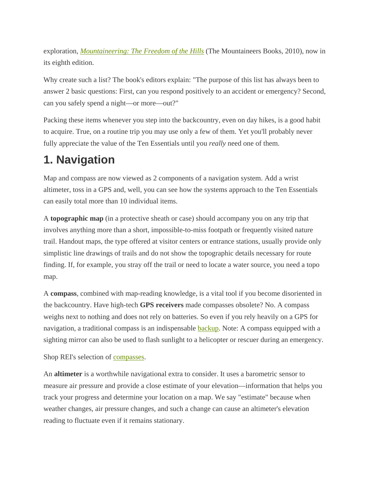exploration, *Mountaineering: The Freedom of the Hills* (The Mountaineers Books, 2010), now in its eighth edition.

Why create such a list? The book's editors explain: "The purpose of this list has always been to answer 2 basic questions: First, can you respond positively to an accident or emergency? Second, can you safely spend a night—or more—out?"

Packing these items whenever you step into the backcountry, even on day hikes, is a good habit to acquire. True, on a routine trip you may use only a few of them. Yet you'll probably never fully appreciate the value of the Ten Essentials until you *really* need one of them.

## **1. Navigation**

Map and compass are now viewed as 2 components of a navigation system. Add a wrist altimeter, toss in a GPS and, well, you can see how the systems approach to the Ten Essentials can easily total more than 10 individual items.

A **topographic map** (in a protective sheath or case) should accompany you on any trip that involves anything more than a short, impossible-to-miss footpath or frequently visited nature trail. Handout maps, the type offered at visitor centers or entrance stations, usually provide only simplistic line drawings of trails and do not show the topographic details necessary for route finding. If, for example, you stray off the trail or need to locate a water source, you need a topo map.

A **compass**, combined with map-reading knowledge, is a vital tool if you become disoriented in the backcountry. Have high-tech **GPS receivers** made compasses obsolete? No. A compass weighs next to nothing and does not rely on batteries. So even if you rely heavily on a GPS for navigation, a traditional compass is an indispensable **backup**. Note: A compass equipped with a sighting mirror can also be used to flash sunlight to a helicopter or rescuer during an emergency.

Shop REI's selection of compasses.

An **altimeter** is a worthwhile navigational extra to consider. It uses a barometric sensor to measure air pressure and provide a close estimate of your elevation—information that helps you track your progress and determine your location on a map. We say "estimate" because when weather changes, air pressure changes, and such a change can cause an altimeter's elevation reading to fluctuate even if it remains stationary.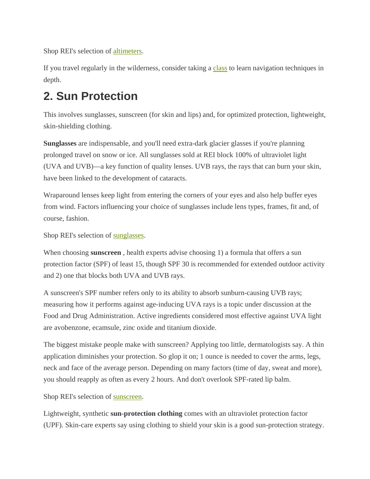Shop REI's selection of altimeters.

If you travel regularly in the wilderness, consider taking a class to learn navigation techniques in depth.

#### **2. Sun Protection**

This involves sunglasses, sunscreen (for skin and lips) and, for optimized protection, lightweight, skin-shielding clothing.

**Sunglasses** are indispensable, and you'll need extra-dark glacier glasses if you're planning prolonged travel on snow or ice. All sunglasses sold at REI block 100% of ultraviolet light (UVA and UVB)—a key function of quality lenses. UVB rays, the rays that can burn your skin, have been linked to the development of cataracts.

Wraparound lenses keep light from entering the corners of your eyes and also help buffer eyes from wind. Factors influencing your choice of sunglasses include lens types, frames, fit and, of course, fashion.

Shop REI's selection of sunglasses.

When choosing **sunscreen** , health experts advise choosing 1) a formula that offers a sun protection factor (SPF) of least 15, though SPF 30 is recommended for extended outdoor activity and 2) one that blocks both UVA and UVB rays.

A sunscreen's SPF number refers only to its ability to absorb sunburn-causing UVB rays; measuring how it performs against age-inducing UVA rays is a topic under discussion at the Food and Drug Administration. Active ingredients considered most effective against UVA light are avobenzone, ecamsule, zinc oxide and titanium dioxide.

The biggest mistake people make with sunscreen? Applying too little, dermatologists say. A thin application diminishes your protection. So glop it on; 1 ounce is needed to cover the arms, legs, neck and face of the average person. Depending on many factors (time of day, sweat and more), you should reapply as often as every 2 hours. And don't overlook SPF-rated lip balm.

Shop REI's selection of sunscreen.

Lightweight, synthetic **sun-protection clothing** comes with an ultraviolet protection factor (UPF). Skin-care experts say using clothing to shield your skin is a good sun-protection strategy.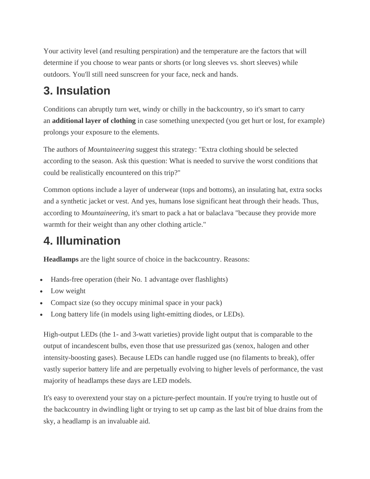Your activity level (and resulting perspiration) and the temperature are the factors that will determine if you choose to wear pants or shorts (or long sleeves vs. short sleeves) while outdoors. You'll still need sunscreen for your face, neck and hands.

#### **3. Insulation**

Conditions can abruptly turn wet, windy or chilly in the backcountry, so it's smart to carry an **additional layer of clothing** in case something unexpected (you get hurt or lost, for example) prolongs your exposure to the elements.

The authors of *Mountaineering* suggest this strategy: "Extra clothing should be selected according to the season. Ask this question: What is needed to survive the worst conditions that could be realistically encountered on this trip?"

Common options include a layer of underwear (tops and bottoms), an insulating hat, extra socks and a synthetic jacket or vest. And yes, humans lose significant heat through their heads. Thus, according to *Mountaineering*, it's smart to pack a hat or balaclava "because they provide more warmth for their weight than any other clothing article."

## **4. Illumination**

**Headlamps** are the light source of choice in the backcountry. Reasons:

- Hands-free operation (their No. 1 advantage over flashlights)
- Low weight
- Compact size (so they occupy minimal space in your pack)
- Long battery life (in models using light-emitting diodes, or LEDs).

High-output LEDs (the 1- and 3-watt varieties) provide light output that is comparable to the output of incandescent bulbs, even those that use pressurized gas (xenox, halogen and other intensity-boosting gases). Because LEDs can handle rugged use (no filaments to break), offer vastly superior battery life and are perpetually evolving to higher levels of performance, the vast majority of headlamps these days are LED models.

It's easy to overextend your stay on a picture-perfect mountain. If you're trying to hustle out of the backcountry in dwindling light or trying to set up camp as the last bit of blue drains from the sky, a headlamp is an invaluable aid.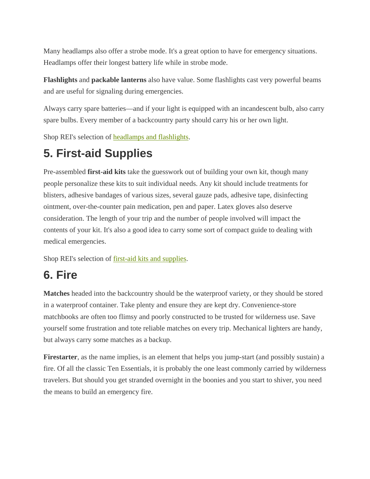Many headlamps also offer a strobe mode. It's a great option to have for emergency situations. Headlamps offer their longest battery life while in strobe mode.

**Flashlights** and **packable lanterns** also have value. Some flashlights cast very powerful beams and are useful for signaling during emergencies.

Always carry spare batteries—and if your light is equipped with an incandescent bulb, also carry spare bulbs. Every member of a backcountry party should carry his or her own light.

Shop REI's selection of headlamps and flashlights.

#### **5. First-aid Supplies**

Pre-assembled **first-aid kits** take the guesswork out of building your own kit, though many people personalize these kits to suit individual needs. Any kit should include treatments for blisters, adhesive bandages of various sizes, several gauze pads, adhesive tape, disinfecting ointment, over-the-counter pain medication, pen and paper. Latex gloves also deserve consideration. The length of your trip and the number of people involved will impact the contents of your kit. It's also a good idea to carry some sort of compact guide to dealing with medical emergencies.

Shop REI's selection of first-aid kits and supplies.

#### **6. Fire**

**Matches** headed into the backcountry should be the waterproof variety, or they should be stored in a waterproof container. Take plenty and ensure they are kept dry. Convenience-store matchbooks are often too flimsy and poorly constructed to be trusted for wilderness use. Save yourself some frustration and tote reliable matches on every trip. Mechanical lighters are handy, but always carry some matches as a backup.

Firestarter, as the name implies, is an element that helps you jump-start (and possibly sustain) a fire. Of all the classic Ten Essentials, it is probably the one least commonly carried by wilderness travelers. But should you get stranded overnight in the boonies and you start to shiver, you need the means to build an emergency fire.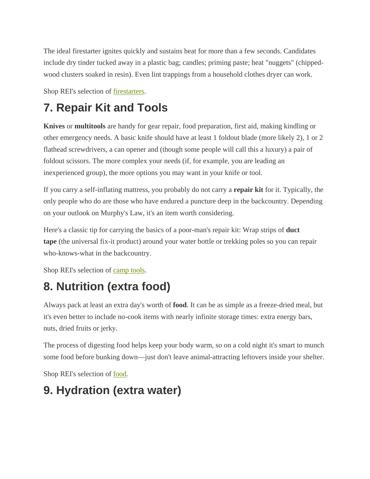The ideal firestarter ignites quickly and sustains heat for more than a few seconds. Candidates include dry tinder tucked away in a plastic bag; candles; priming paste; heat "nuggets" (chippedwood clusters soaked in resin). Even lint trappings from a household clothes dryer can work.

Shop REI's selection of firestarters.

## **7. Repair Kit and Tools**

**Knives** or **multitools** are handy for gear repair, food preparation, first aid, making kindling or other emergency needs. A basic knife should have at least 1 foldout blade (more likely 2), 1 or 2 flathead screwdrivers, a can opener and (though some people will call this a luxury) a pair of foldout scissors. The more complex your needs (if, for example, you are leading an inexperienced group), the more options you may want in your knife or tool.

If you carry a self-inflating mattress, you probably do not carry a **repair kit** for it. Typically, the only people who do are those who have endured a puncture deep in the backcountry. Depending on your outlook on Murphy's Law, it's an item worth considering.

Here's a classic tip for carrying the basics of a poor-man's repair kit: Wrap strips of **duct tape** (the universal fix-it product) around your water bottle or trekking poles so you can repair who-knows-what in the backcountry.

Shop REI's selection of camp tools.

#### **8. Nutrition (extra food)**

Always pack at least an extra day's worth of **food**. It can be as simple as a freeze-dried meal, but it's even better to include no-cook items with nearly infinite storage times: extra energy bars, nuts, dried fruits or jerky.

The process of digesting food helps keep your body warm, so on a cold night it's smart to munch some food before bunking down—just don't leave animal-attracting leftovers inside your shelter.

Shop REI's selection of food.

#### **9. Hydration (extra water)**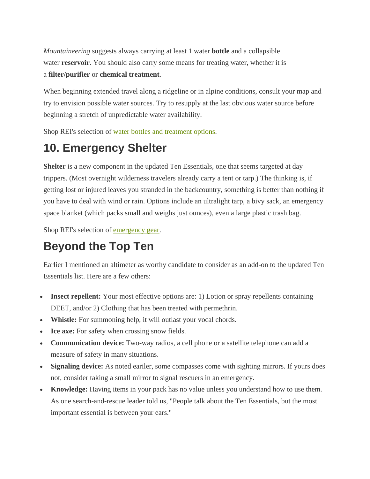*Mountaineering* suggests always carrying at least 1 water **bottle** and a collapsible water **reservoir**. You should also carry some means for treating water, whether it is a **filter/purifier** or **chemical treatment**.

When beginning extended travel along a ridgeline or in alpine conditions, consult your map and try to envision possible water sources. Try to resupply at the last obvious water source before beginning a stretch of unpredictable water availability.

Shop REI's selection of water bottles and treatment options.

#### **10. Emergency Shelter**

**Shelter** is a new component in the updated Ten Essentials, one that seems targeted at day trippers. (Most overnight wilderness travelers already carry a tent or tarp.) The thinking is, if getting lost or injured leaves you stranded in the backcountry, something is better than nothing if you have to deal with wind or rain. Options include an ultralight tarp, a bivy sack, an emergency space blanket (which packs small and weighs just ounces), even a large plastic trash bag.

Shop REI's selection of emergency gear.

#### **Beyond the Top Ten**

Earlier I mentioned an altimeter as worthy candidate to consider as an add-on to the updated Ten Essentials list. Here are a few others:

- **Insect repellent:** Your most effective options are: 1) Lotion or spray repellents containing DEET, and/or 2) Clothing that has been treated with permethrin.
- **Whistle:** For summoning help, it will outlast your vocal chords.
- **Ice axe:** For safety when crossing snow fields.
- **Communication device:** Two-way radios, a cell phone or a satellite telephone can add a measure of safety in many situations.
- Signaling device: As noted eariler, some compasses come with sighting mirrors. If yours does not, consider taking a small mirror to signal rescuers in an emergency.
- **Knowledge:** Having items in your pack has no value unless you understand how to use them. As one search-and-rescue leader told us, "People talk about the Ten Essentials, but the most important essential is between your ears."